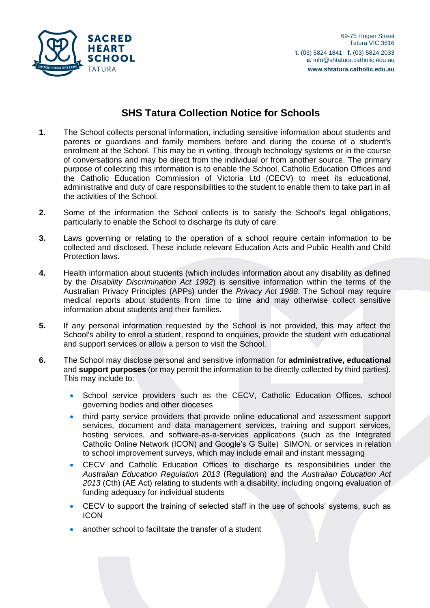

## **SHS Tatura Collection Notice for Schools**

- **1.** The School collects personal information, including sensitive information about students and parents or guardians and family members before and during the course of a student's enrolment at the School. This may be in writing, through technology systems or in the course of conversations and may be direct from the individual or from another source. The primary purpose of collecting this information is to enable the School, Catholic Education Offices and the Catholic Education Commission of Victoria Ltd (CECV) to meet its educational, administrative and duty of care responsibilities to the student to enable them to take part in all the activities of the School.
- **2.** Some of the information the School collects is to satisfy the School's legal obligations, particularly to enable the School to discharge its duty of care.
- **3.** Laws governing or relating to the operation of a school require certain information to be collected and disclosed. These include relevant Education Acts and Public Health and Child Protection laws.
- **4.** Health information about students (which includes information about any disability as defined by the *Disability Discrimination Act 1992*) is sensitive information within the terms of the Australian Privacy Principles (APPs) under the *Privacy Act 1988*. The School may require medical reports about students from time to time and may otherwise collect sensitive information about students and their families.
- **5.** If any personal information requested by the School is not provided, this may affect the School's ability to enrol a student, respond to enquiries, provide the student with educational and support services or allow a person to visit the School.
- **6.** The School may disclose personal and sensitive information for **administrative, educational** and **support purposes** (or may permit the information to be directly collected by third parties). This may include to:
	- School service providers such as the CECV, Catholic Education Offices, school governing bodies and other dioceses
	- third party service providers that provide online educational and assessment support services, document and data management services, training and support services, hosting services, and software-as-a-services applications (such as the Integrated Catholic Online Network (ICON) and Google's G Suite) SIMON, or services in relation to school improvement surveys, which may include email and instant messaging
	- CECV and Catholic Education Offices to discharge its responsibilities under the *Australian Education Regulation 2013* (Regulation) and the *Australian Education Act 2013* (Cth) (AE Act) relating to students with a disability, including ongoing evaluation of funding adequacy for individual students
	- CECV to support the training of selected staff in the use of schools' systems, such as ICON
	- another school to facilitate the transfer of a student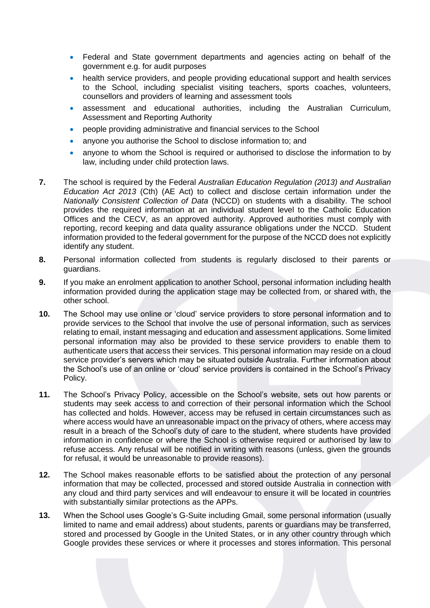- Federal and State government departments and agencies acting on behalf of the government e.g. for audit purposes
- health service providers, and people providing educational support and health services to the School, including specialist visiting teachers, sports coaches, volunteers, counsellors and providers of learning and assessment tools
- assessment and educational authorities, including the Australian Curriculum, Assessment and Reporting Authority
- people providing administrative and financial services to the School
- anyone you authorise the School to disclose information to; and
- anyone to whom the School is required or authorised to disclose the information to by law, including under child protection laws.
- **7.** The school is required by the Federal *Australian Education Regulation (2013) and Australian Education Act 2013* (Cth) (AE Act) to collect and disclose certain information under the *Nationally Consistent Collection of Data* (NCCD) on students with a disability. The school provides the required information at an individual student level to the Catholic Education Offices and the CECV, as an approved authority. Approved authorities must comply with reporting, record keeping and data quality assurance obligations under the NCCD. Student information provided to the federal government for the purpose of the NCCD does not explicitly identify any student.
- **8.** Personal information collected from students is regularly disclosed to their parents or guardians.
- **9.** If you make an enrolment application to another School, personal information including health information provided during the application stage may be collected from, or shared with, the other school.
- **10.** The School may use online or 'cloud' service providers to store personal information and to provide services to the School that involve the use of personal information, such as services relating to email, instant messaging and education and assessment applications. Some limited personal information may also be provided to these service providers to enable them to authenticate users that access their services. This personal information may reside on a cloud service provider's servers which may be situated outside Australia. Further information about the School's use of an online or 'cloud' service providers is contained in the School's Privacy Policy.
- **11.** The School's Privacy Policy, accessible on the School's website, sets out how parents or students may seek access to and correction of their personal information which the School has collected and holds. However, access may be refused in certain circumstances such as where access would have an unreasonable impact on the privacy of others, where access may result in a breach of the School's duty of care to the student, where students have provided information in confidence or where the School is otherwise required or authorised by law to refuse access. Any refusal will be notified in writing with reasons (unless, given the grounds for refusal, it would be unreasonable to provide reasons).
- **12.** The School makes reasonable efforts to be satisfied about the protection of any personal information that may be collected, processed and stored outside Australia in connection with any cloud and third party services and will endeavour to ensure it will be located in countries with substantially similar protections as the APPs.
- **13.** When the School uses Google's G-Suite including Gmail, some personal information (usually limited to name and email address) about students, parents or guardians may be transferred, stored and processed by Google in the United States, or in any other country through which Google provides these services or where it processes and stores information. This personal